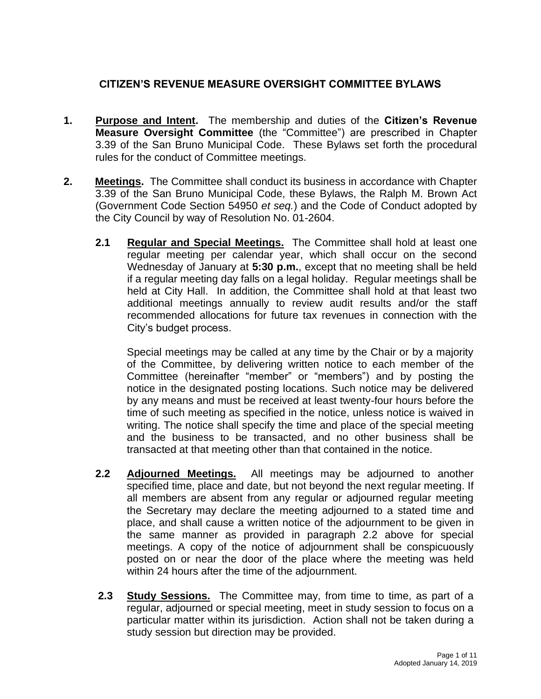# **CITIZEN'S REVENUE MEASURE OVERSIGHT COMMITTEE BYLAWS**

- **1. Purpose and Intent.** The membership and duties of the **Citizen's Revenue Measure Oversight Committee** (the "Committee") are prescribed in Chapter 3.39 of the San Bruno Municipal Code. These Bylaws set forth the procedural rules for the conduct of Committee meetings.
- **2. Meetings.** The Committee shall conduct its business in accordance with Chapter 3.39 of the San Bruno Municipal Code, these Bylaws, the Ralph M. Brown Act (Government Code Section 54950 *et seq.*) and the Code of Conduct adopted by the City Council by way of Resolution No. 01-2604.
	- **2.1 Regular and Special Meetings.** The Committee shall hold at least one regular meeting per calendar year, which shall occur on the second Wednesday of January at **5:30 p.m.**, except that no meeting shall be held if a regular meeting day falls on a legal holiday. Regular meetings shall be held at City Hall. In addition, the Committee shall hold at that least two additional meetings annually to review audit results and/or the staff recommended allocations for future tax revenues in connection with the City's budget process.

Special meetings may be called at any time by the Chair or by a majority of the Committee, by delivering written notice to each member of the Committee (hereinafter "member" or "members") and by posting the notice in the designated posting locations. Such notice may be delivered by any means and must be received at least twenty-four hours before the time of such meeting as specified in the notice, unless notice is waived in writing. The notice shall specify the time and place of the special meeting and the business to be transacted, and no other business shall be transacted at that meeting other than that contained in the notice.

- **2.2 Adjourned Meetings.** All meetings may be adjourned to another specified time, place and date, but not beyond the next regular meeting. If all members are absent from any regular or adjourned regular meeting the Secretary may declare the meeting adjourned to a stated time and place, and shall cause a written notice of the adjournment to be given in the same manner as provided in paragraph 2.2 above for special meetings. A copy of the notice of adjournment shall be conspicuously posted on or near the door of the place where the meeting was held within 24 hours after the time of the adjournment.
- **2.3 Study Sessions.** The Committee may, from time to time, as part of a regular, adjourned or special meeting, meet in study session to focus on a particular matter within its jurisdiction. Action shall not be taken during a study session but direction may be provided.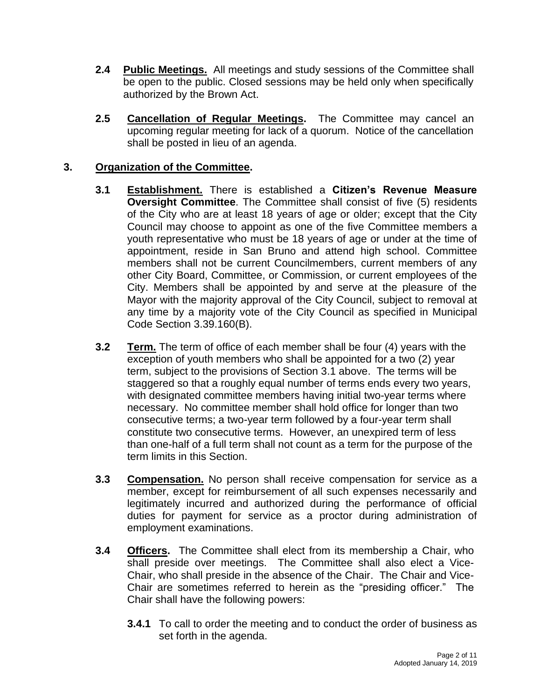- **2.4 Public Meetings.** All meetings and study sessions of the Committee shall be open to the public. Closed sessions may be held only when specifically authorized by the Brown Act.
- **2.5 Cancellation of Regular Meetings.** The Committee may cancel an upcoming regular meeting for lack of a quorum. Notice of the cancellation shall be posted in lieu of an agenda.

# **3. Organization of the Committee.**

- **3.1 Establishment.** There is established a **Citizen's Revenue Measure Oversight Committee**. The Committee shall consist of five (5) residents of the City who are at least 18 years of age or older; except that the City Council may choose to appoint as one of the five Committee members a youth representative who must be 18 years of age or under at the time of appointment, reside in San Bruno and attend high school. Committee members shall not be current Councilmembers, current members of any other City Board, Committee, or Commission, or current employees of the City. Members shall be appointed by and serve at the pleasure of the Mayor with the majority approval of the City Council, subject to removal at any time by a majority vote of the City Council as specified in Municipal Code Section 3.39.160(B).
- **3.2 Term.** The term of office of each member shall be four (4) years with the exception of youth members who shall be appointed for a two (2) year term, subject to the provisions of Section 3.1 above. The terms will be staggered so that a roughly equal number of terms ends every two years, with designated committee members having initial two-year terms where necessary. No committee member shall hold office for longer than two consecutive terms; a two-year term followed by a four-year term shall constitute two consecutive terms. However, an unexpired term of less than one-half of a full term shall not count as a term for the purpose of the term limits in this Section.
- **3.3 Compensation.** No person shall receive compensation for service as a member, except for reimbursement of all such expenses necessarily and legitimately incurred and authorized during the performance of official duties for payment for service as a proctor during administration of employment examinations.
- **3.4 Officers.** The Committee shall elect from its membership a Chair, who shall preside over meetings. The Committee shall also elect a Vice-Chair, who shall preside in the absence of the Chair. The Chair and Vice-Chair are sometimes referred to herein as the "presiding officer." The Chair shall have the following powers:
	- **3.4.1** To call to order the meeting and to conduct the order of business as set forth in the agenda.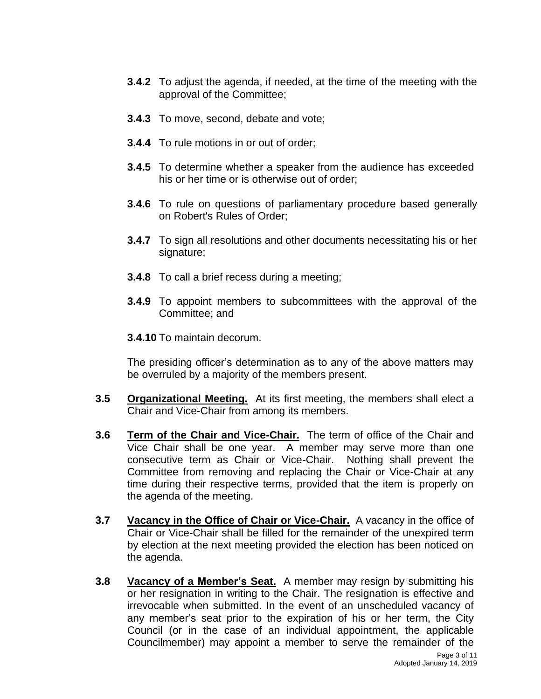- **3.4.2** To adjust the agenda, if needed, at the time of the meeting with the approval of the Committee;
- **3.4.3** To move, second, debate and vote;
- **3.4.4** To rule motions in or out of order;
- **3.4.5** To determine whether a speaker from the audience has exceeded his or her time or is otherwise out of order;
- **3.4.6** To rule on questions of parliamentary procedure based generally on Robert's Rules of Order;
- **3.4.7** To sign all resolutions and other documents necessitating his or her signature;
- **3.4.8** To call a brief recess during a meeting;
- **3.4.9** To appoint members to subcommittees with the approval of the Committee; and
- **3.4.10** To maintain decorum.

The presiding officer's determination as to any of the above matters may be overruled by a majority of the members present.

- **3.5 Organizational Meeting.** At its first meeting, the members shall elect a Chair and Vice-Chair from among its members.
- **3.6 Term of the Chair and Vice-Chair.** The term of office of the Chair and Vice Chair shall be one year. A member may serve more than one consecutive term as Chair or Vice-Chair. Nothing shall prevent the Committee from removing and replacing the Chair or Vice-Chair at any time during their respective terms, provided that the item is properly on the agenda of the meeting.
- **3.7 Vacancy in the Office of Chair or Vice-Chair.** A vacancy in the office of Chair or Vice-Chair shall be filled for the remainder of the unexpired term by election at the next meeting provided the election has been noticed on the agenda.
- **3.8 Vacancy of a Member's Seat.** A member may resign by submitting his or her resignation in writing to the Chair. The resignation is effective and irrevocable when submitted. In the event of an unscheduled vacancy of any member's seat prior to the expiration of his or her term, the City Council (or in the case of an individual appointment, the applicable Councilmember) may appoint a member to serve the remainder of the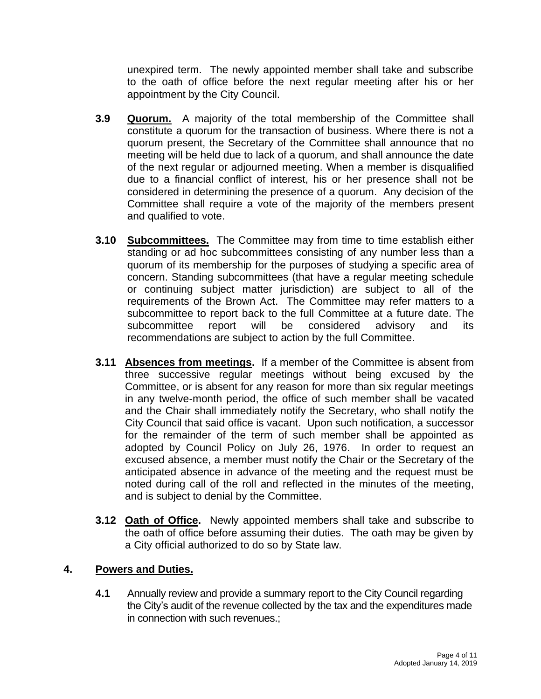unexpired term. The newly appointed member shall take and subscribe to the oath of office before the next regular meeting after his or her appointment by the City Council.

- **3.9 Quorum.** A majority of the total membership of the Committee shall constitute a quorum for the transaction of business. Where there is not a quorum present, the Secretary of the Committee shall announce that no meeting will be held due to lack of a quorum, and shall announce the date of the next regular or adjourned meeting. When a member is disqualified due to a financial conflict of interest, his or her presence shall not be considered in determining the presence of a quorum. Any decision of the Committee shall require a vote of the majority of the members present and qualified to vote.
- **3.10 Subcommittees.** The Committee may from time to time establish either standing or ad hoc subcommittees consisting of any number less than a quorum of its membership for the purposes of studying a specific area of concern. Standing subcommittees (that have a regular meeting schedule or continuing subject matter jurisdiction) are subject to all of the requirements of the Brown Act. The Committee may refer matters to a subcommittee to report back to the full Committee at a future date. The subcommittee report will be considered advisory and its recommendations are subject to action by the full Committee.
- **3.11 Absences from meetings.** If a member of the Committee is absent from three successive regular meetings without being excused by the Committee, or is absent for any reason for more than six regular meetings in any twelve-month period, the office of such member shall be vacated and the Chair shall immediately notify the Secretary, who shall notify the City Council that said office is vacant. Upon such notification, a successor for the remainder of the term of such member shall be appointed as adopted by Council Policy on July 26, 1976. In order to request an excused absence, a member must notify the Chair or the Secretary of the anticipated absence in advance of the meeting and the request must be noted during call of the roll and reflected in the minutes of the meeting, and is subject to denial by the Committee.
- **3.12 Oath of Office.** Newly appointed members shall take and subscribe to the oath of office before assuming their duties. The oath may be given by a City official authorized to do so by State law.

## **4. Powers and Duties.**

**4.1** Annually review and provide a summary report to the City Council regarding the City's audit of the revenue collected by the tax and the expenditures made in connection with such revenues.;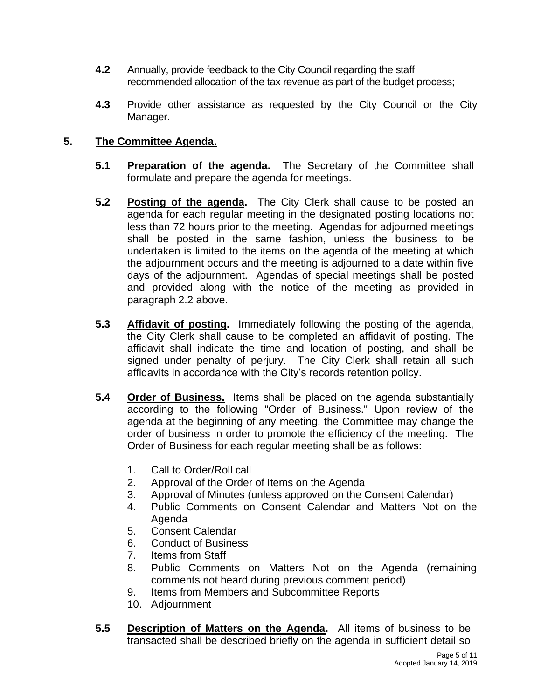- **4.2** Annually, provide feedback to the City Council regarding the staff recommended allocation of the tax revenue as part of the budget process;
- **4.3** Provide other assistance as requested by the City Council or the City Manager.

# **5. The Committee Agenda.**

- **5.1 Preparation of the agenda.** The Secretary of the Committee shall formulate and prepare the agenda for meetings.
- **5.2 Posting of the agenda.** The City Clerk shall cause to be posted an agenda for each regular meeting in the designated posting locations not less than 72 hours prior to the meeting. Agendas for adjourned meetings shall be posted in the same fashion, unless the business to be undertaken is limited to the items on the agenda of the meeting at which the adjournment occurs and the meeting is adjourned to a date within five days of the adjournment. Agendas of special meetings shall be posted and provided along with the notice of the meeting as provided in paragraph 2.2 above.
- **5.3 Affidavit of posting.** Immediately following the posting of the agenda, the City Clerk shall cause to be completed an affidavit of posting. The affidavit shall indicate the time and location of posting, and shall be signed under penalty of perjury. The City Clerk shall retain all such affidavits in accordance with the City's records retention policy.
- **5.4 Order of Business.** Items shall be placed on the agenda substantially according to the following "Order of Business." Upon review of the agenda at the beginning of any meeting, the Committee may change the order of business in order to promote the efficiency of the meeting. The Order of Business for each regular meeting shall be as follows:
	- 1. Call to Order/Roll call
	- 2. Approval of the Order of Items on the Agenda
	- 3. Approval of Minutes (unless approved on the Consent Calendar)
	- 4. Public Comments on Consent Calendar and Matters Not on the Agenda
	- 5. Consent Calendar
	- 6. Conduct of Business
	- 7. Items from Staff
	- 8. Public Comments on Matters Not on the Agenda (remaining comments not heard during previous comment period)
	- 9. Items from Members and Subcommittee Reports
	- 10. Adjournment
- **5.5 Description of Matters on the Agenda.** All items of business to be transacted shall be described briefly on the agenda in sufficient detail so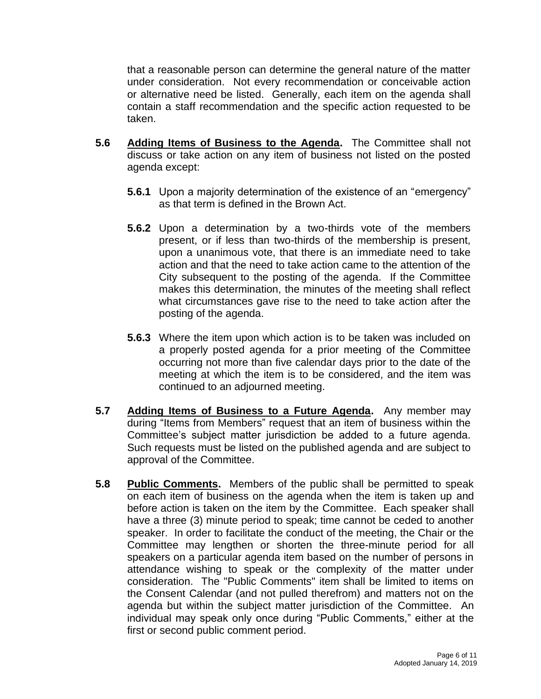that a reasonable person can determine the general nature of the matter under consideration. Not every recommendation or conceivable action or alternative need be listed. Generally, each item on the agenda shall contain a staff recommendation and the specific action requested to be taken.

- **5.6 Adding Items of Business to the Agenda.** The Committee shall not discuss or take action on any item of business not listed on the posted agenda except:
	- **5.6.1** Upon a majority determination of the existence of an "emergency" as that term is defined in the Brown Act.
	- **5.6.2** Upon a determination by a two-thirds vote of the members present, or if less than two-thirds of the membership is present, upon a unanimous vote, that there is an immediate need to take action and that the need to take action came to the attention of the City subsequent to the posting of the agenda. If the Committee makes this determination, the minutes of the meeting shall reflect what circumstances gave rise to the need to take action after the posting of the agenda.
	- **5.6.3** Where the item upon which action is to be taken was included on a properly posted agenda for a prior meeting of the Committee occurring not more than five calendar days prior to the date of the meeting at which the item is to be considered, and the item was continued to an adjourned meeting.
- **5.7 Adding Items of Business to a Future Agenda.** Any member may during "Items from Members" request that an item of business within the Committee's subject matter jurisdiction be added to a future agenda. Such requests must be listed on the published agenda and are subject to approval of the Committee.
- **5.8 Public Comments.** Members of the public shall be permitted to speak on each item of business on the agenda when the item is taken up and before action is taken on the item by the Committee. Each speaker shall have a three (3) minute period to speak; time cannot be ceded to another speaker. In order to facilitate the conduct of the meeting, the Chair or the Committee may lengthen or shorten the three-minute period for all speakers on a particular agenda item based on the number of persons in attendance wishing to speak or the complexity of the matter under consideration. The "Public Comments" item shall be limited to items on the Consent Calendar (and not pulled therefrom) and matters not on the agenda but within the subject matter jurisdiction of the Committee. An individual may speak only once during "Public Comments," either at the first or second public comment period.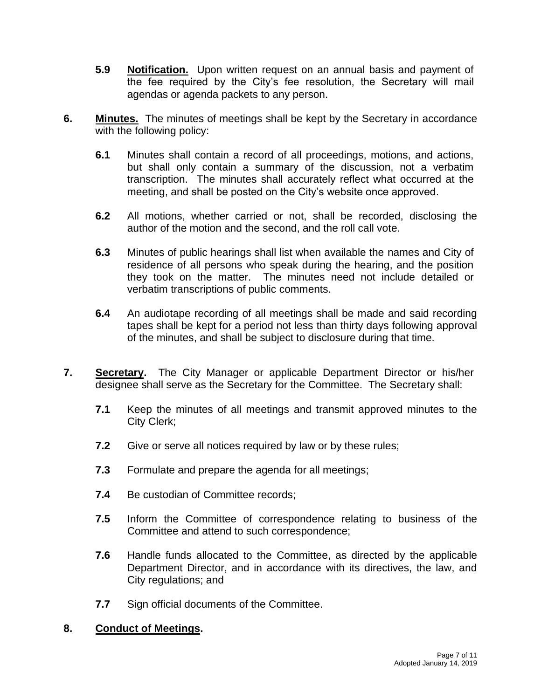- **5.9 Notification.** Upon written request on an annual basis and payment of the fee required by the City's fee resolution, the Secretary will mail agendas or agenda packets to any person.
- **6. Minutes.** The minutes of meetings shall be kept by the Secretary in accordance with the following policy:
	- **6.1** Minutes shall contain a record of all proceedings, motions, and actions, but shall only contain a summary of the discussion, not a verbatim transcription. The minutes shall accurately reflect what occurred at the meeting, and shall be posted on the City's website once approved.
	- **6.2** All motions, whether carried or not, shall be recorded, disclosing the author of the motion and the second, and the roll call vote.
	- **6.3** Minutes of public hearings shall list when available the names and City of residence of all persons who speak during the hearing, and the position they took on the matter. The minutes need not include detailed or verbatim transcriptions of public comments.
	- **6.4** An audiotape recording of all meetings shall be made and said recording tapes shall be kept for a period not less than thirty days following approval of the minutes, and shall be subject to disclosure during that time.
- **7. Secretary.** The City Manager or applicable Department Director or his/her designee shall serve as the Secretary for the Committee. The Secretary shall:
	- **7.1** Keep the minutes of all meetings and transmit approved minutes to the City Clerk;
	- **7.2** Give or serve all notices required by law or by these rules;
	- **7.3** Formulate and prepare the agenda for all meetings;
	- **7.4** Be custodian of Committee records;
	- **7.5** Inform the Committee of correspondence relating to business of the Committee and attend to such correspondence;
	- **7.6** Handle funds allocated to the Committee, as directed by the applicable Department Director, and in accordance with its directives, the law, and City regulations; and
	- **7.7** Sign official documents of the Committee.

#### **8. Conduct of Meetings.**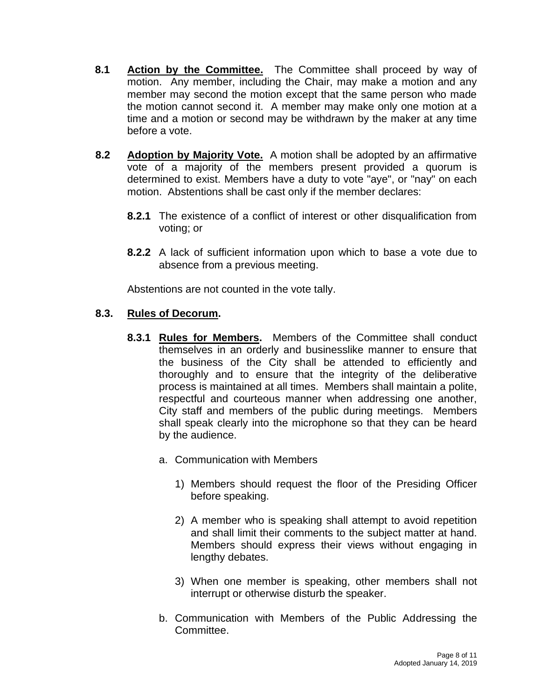- **8.1 Action by the Committee.** The Committee shall proceed by way of motion. Any member, including the Chair, may make a motion and any member may second the motion except that the same person who made the motion cannot second it. A member may make only one motion at a time and a motion or second may be withdrawn by the maker at any time before a vote.
- **8.2 Adoption by Majority Vote.** A motion shall be adopted by an affirmative vote of a majority of the members present provided a quorum is determined to exist. Members have a duty to vote "aye", or "nay" on each motion. Abstentions shall be cast only if the member declares:
	- **8.2.1** The existence of a conflict of interest or other disqualification from voting; or
	- **8.2.2** A lack of sufficient information upon which to base a vote due to absence from a previous meeting.

Abstentions are not counted in the vote tally.

## **8.3. Rules of Decorum.**

- **8.3.1 Rules for Members.** Members of the Committee shall conduct themselves in an orderly and businesslike manner to ensure that the business of the City shall be attended to efficiently and thoroughly and to ensure that the integrity of the deliberative process is maintained at all times. Members shall maintain a polite, respectful and courteous manner when addressing one another, City staff and members of the public during meetings. Members shall speak clearly into the microphone so that they can be heard by the audience.
	- a. Communication with Members
		- 1) Members should request the floor of the Presiding Officer before speaking.
		- 2) A member who is speaking shall attempt to avoid repetition and shall limit their comments to the subject matter at hand. Members should express their views without engaging in lengthy debates.
		- 3) When one member is speaking, other members shall not interrupt or otherwise disturb the speaker.
	- b. Communication with Members of the Public Addressing the Committee.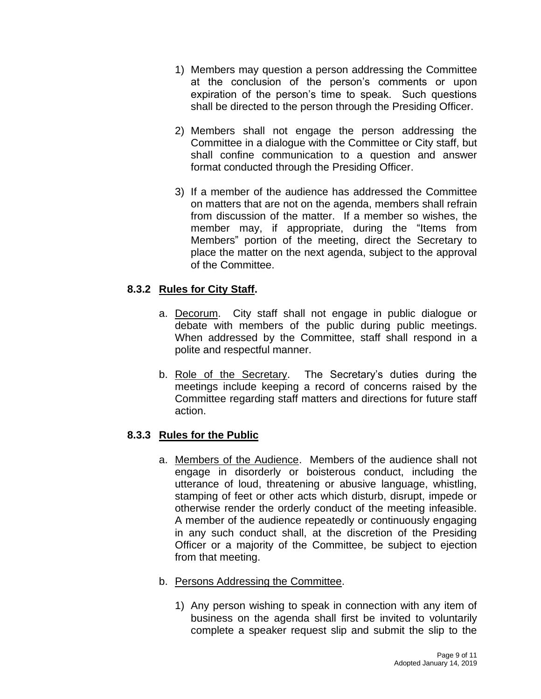- 1) Members may question a person addressing the Committee at the conclusion of the person's comments or upon expiration of the person's time to speak. Such questions shall be directed to the person through the Presiding Officer.
- 2) Members shall not engage the person addressing the Committee in a dialogue with the Committee or City staff, but shall confine communication to a question and answer format conducted through the Presiding Officer.
- 3) If a member of the audience has addressed the Committee on matters that are not on the agenda, members shall refrain from discussion of the matter. If a member so wishes, the member may, if appropriate, during the "Items from Members" portion of the meeting, direct the Secretary to place the matter on the next agenda, subject to the approval of the Committee.

# **8.3.2 Rules for City Staff.**

- a. Decorum.City staff shall not engage in public dialogue or debate with members of the public during public meetings. When addressed by the Committee, staff shall respond in a polite and respectful manner.
- b. Role of the Secretary. The Secretary's duties during the meetings include keeping a record of concerns raised by the Committee regarding staff matters and directions for future staff action.

## **8.3.3 Rules for the Public**

a. Members of the Audience. Members of the audience shall not engage in disorderly or boisterous conduct, including the utterance of loud, threatening or abusive language, whistling, stamping of feet or other acts which disturb, disrupt, impede or otherwise render the orderly conduct of the meeting infeasible. A member of the audience repeatedly or continuously engaging in any such conduct shall, at the discretion of the Presiding Officer or a majority of the Committee, be subject to ejection from that meeting.

## b. Persons Addressing the Committee.

1) Any person wishing to speak in connection with any item of business on the agenda shall first be invited to voluntarily complete a speaker request slip and submit the slip to the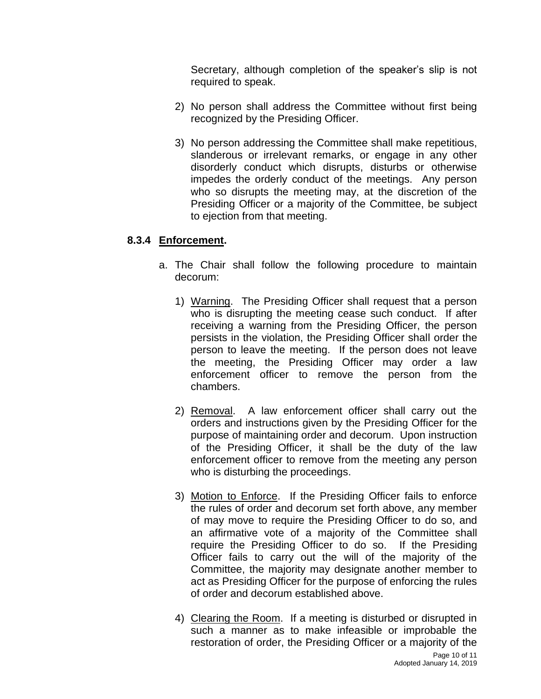Secretary, although completion of the speaker's slip is not required to speak.

- 2) No person shall address the Committee without first being recognized by the Presiding Officer.
- 3) No person addressing the Committee shall make repetitious, slanderous or irrelevant remarks, or engage in any other disorderly conduct which disrupts, disturbs or otherwise impedes the orderly conduct of the meetings. Any person who so disrupts the meeting may, at the discretion of the Presiding Officer or a majority of the Committee, be subject to ejection from that meeting.

## **8.3.4 Enforcement.**

- a. The Chair shall follow the following procedure to maintain decorum:
	- 1) Warning. The Presiding Officer shall request that a person who is disrupting the meeting cease such conduct. If after receiving a warning from the Presiding Officer, the person persists in the violation, the Presiding Officer shall order the person to leave the meeting. If the person does not leave the meeting, the Presiding Officer may order a law enforcement officer to remove the person from the chambers.
	- 2) Removal. A law enforcement officer shall carry out the orders and instructions given by the Presiding Officer for the purpose of maintaining order and decorum. Upon instruction of the Presiding Officer, it shall be the duty of the law enforcement officer to remove from the meeting any person who is disturbing the proceedings.
	- 3) Motion to Enforce. If the Presiding Officer fails to enforce the rules of order and decorum set forth above, any member of may move to require the Presiding Officer to do so, and an affirmative vote of a majority of the Committee shall require the Presiding Officer to do so. If the Presiding Officer fails to carry out the will of the majority of the Committee, the majority may designate another member to act as Presiding Officer for the purpose of enforcing the rules of order and decorum established above.
	- 4) Clearing the Room. If a meeting is disturbed or disrupted in such a manner as to make infeasible or improbable the restoration of order, the Presiding Officer or a majority of the